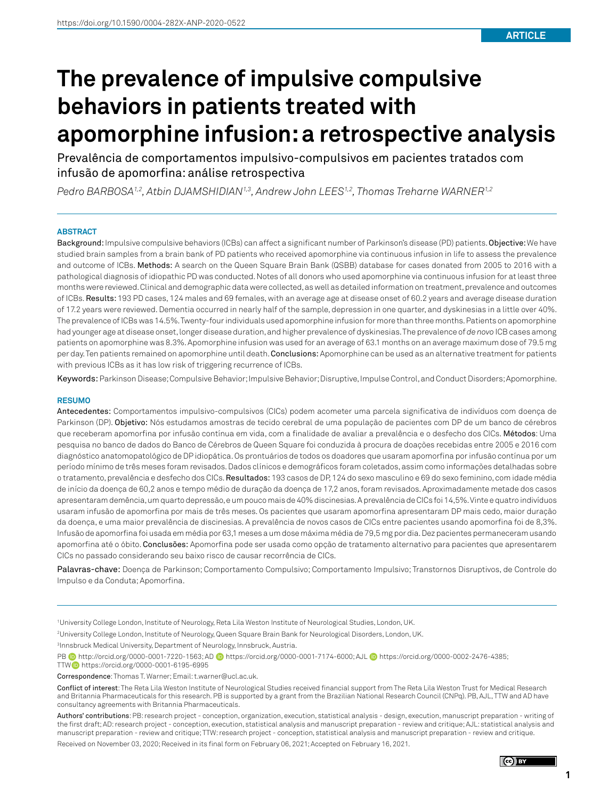# **The prevalence of impulsive compulsive behaviors in patients treated with apomorphine infusion: a retrospective analysis**

Prevalência de comportamentos impulsivo-compulsivos em pacientes tratados com infusão de apomorfina: análise retrospectiva

*Pedro BARBOSA1,2, Atbin DJAMSHIDIAN1,3, Andrew John LEES1,2, Thomas Treharne WARNER1,2*

#### **ABSTRACT**

Background: Impulsive compulsive behaviors (ICBs) can affect a significant number of Parkinson's disease (PD) patients. Objective: We have studied brain samples from a brain bank of PD patients who received apomorphine via continuous infusion in life to assess the prevalence and outcome of ICBs. Methods: A search on the Queen Square Brain Bank (QSBB) database for cases donated from 2005 to 2016 with a pathological diagnosis of idiopathic PD was conducted. Notes of all donors who used apomorphine via continuous infusion for at least three months were reviewed. Clinical and demographic data were collected, as well as detailed information on treatment, prevalence and outcomes of ICBs. Results: 193 PD cases, 124 males and 69 females, with an average age at disease onset of 60.2 years and average disease duration of 17.2 years were reviewed. Dementia occurred in nearly half of the sample, depression in one quarter, and dyskinesias in a little over 40%. The prevalence of ICBs was 14.5%. Twenty-four individuals used apomorphine infusion for more than three months. Patients on apomorphine had younger age at disease onset, longer disease duration, and higher prevalence of dyskinesias. The prevalence of *de novo* ICB cases among patients on apomorphine was 8.3%. Apomorphine infusion was used for an average of 63.1 months on an average maximum dose of 79.5 mg per day. Ten patients remained on apomorphine until death. Conclusions: Apomorphine can be used as an alternative treatment for patients with previous ICBs as it has low risk of triggering recurrence of ICBs.

Keywords: Parkinson Disease; Compulsive Behavior; Impulsive Behavior; Disruptive, Impulse Control, and Conduct Disorders; Apomorphine.

#### **RESUMO**

Antecedentes: Comportamentos impulsivo-compulsivos (CICs) podem acometer uma parcela significativa de indivíduos com doença de Parkinson (DP). Objetivo: Nós estudamos amostras de tecido cerebral de uma população de pacientes com DP de um banco de cérebros que receberam apomorfina por infusão contínua em vida, com a finalidade de avaliar a prevalência e o desfecho dos CICs. Métodos: Uma pesquisa no banco de dados do Banco de Cérebros de Queen Square foi conduzida à procura de doações recebidas entre 2005 e 2016 com diagnóstico anatomopatológico de DP idiopática. Os prontuários de todos os doadores que usaram apomorfina por infusão contínua por um período mínimo de três meses foram revisados. Dados clínicos e demográficos foram coletados, assim como informações detalhadas sobre o tratamento, prevalência e desfecho dos CICs. Resultados: 193 casos de DP, 124 do sexo masculino e 69 do sexo feminino, com idade média de início da doença de 60,2 anos e tempo médio de duração da doença de 17,2 anos, foram revisados. Aproximadamente metade dos casos apresentaram demência, um quarto depressão, e um pouco mais de 40% discinesias. A prevalência de CICs foi 14,5%. Vinte e quatro indivíduos usaram infusão de apomorfina por mais de três meses. Os pacientes que usaram apomorfina apresentaram DP mais cedo, maior duração da doença, e uma maior prevalência de discinesias. A prevalência de novos casos de CICs entre pacientes usando apomorfina foi de 8,3%. Infusão de apomorfina foi usada em média por 63,1 meses a um dose máxima média de 79,5 mg por dia. Dez pacientes permaneceram usando apomorfina até o óbito. Conclusões: Apomorfina pode ser usada como opção de tratamento alternativo para pacientes que apresentarem CICs no passado considerando seu baixo risco de causar recorrência de CICs.

Palavras-chave: Doença de Parkinson; Comportamento Compulsivo; Comportamento Impulsivo; Transtornos Disruptivos, de Controle do Impulso e da Conduta; Apomorfina.

1 University College London, Institute of Neurology, Reta Lila Weston Institute of Neurological Studies, London, UK.

2 University College London, Institute of Neurology, Queen Square Brain Bank for Neurological Disorders, London, UK.

3 Innsbruck Medical University, Department of Neurology, Innsbruck, Austria.

PB  $\bullet$  [http://orcid.org/0000-0001-7220-1563;](http://orcid.org/0000-0001-7220-1563) AD  $\bullet$  [https://orcid.org/0000-0001-7174-6000;](https://orcid.org/0000-0001-7174-6000) AJL  $\bullet$  https://orcid.org/0000-0002-2476-4385; TTW<https://orcid.org/0000-0001-6195-6995>

Correspondence: Thomas T. Warner; Email: t.warner@ucl.ac.uk.

Conflict of interest: The Reta Lila Weston Institute of Neurological Studies received financial support from The Reta Lila Weston Trust for Medical Research and Britannia Pharmaceuticals for this research. PB is supported by a grant from the Brazilian National Research Council (CNPq). PB, AJL, TTW and AD have consultancy agreements with Britannia Pharmaceuticals.

Authors' contributions: PB: research project - conception, organization, execution, statistical analysis - design, execution, manuscript preparation - writing of the first draft; AD: research project - conception, execution, statistical analysis and manuscript preparation - review and critique; AJL: statistical analysis and manuscript preparation - review and critique; TTW: research project - conception, statistical analysis and manuscript preparation - review and critique. Received on November 03, 2020; Received in its final form on February 06, 2021; Accepted on February 16, 2021.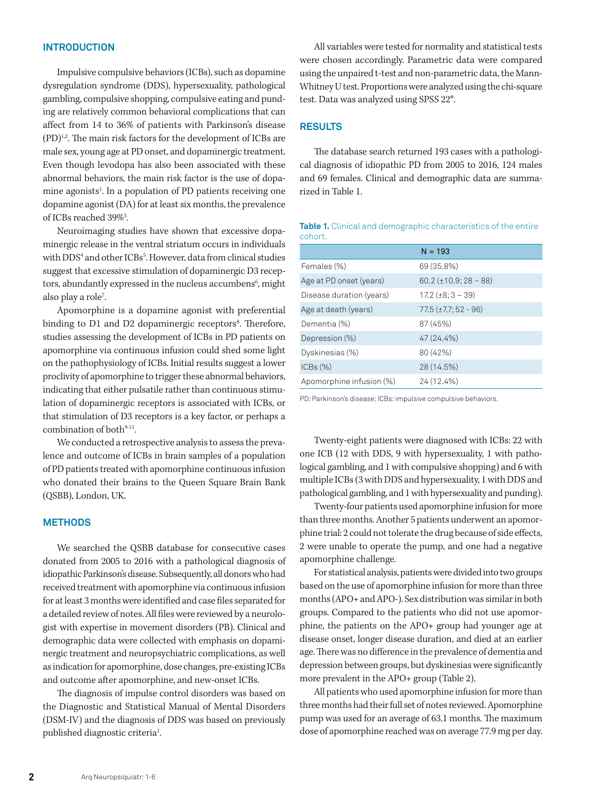#### **INTRODUCTION**

Impulsive compulsive behaviors (ICBs), such as dopamine dysregulation syndrome (DDS), hypersexuality, pathological gambling, compulsive shopping, compulsive eating and punding are relatively common behavioral complications that can affect from 14 to 36% of patients with Parkinson's disease (PD)1,2. The main risk factors for the development of ICBs are male sex, young age at PD onset, and dopaminergic treatment. Even though levodopa has also been associated with these abnormal behaviors, the main risk factor is the use of dopamine agonists<sup>1</sup>. In a population of PD patients receiving one dopamine agonist (DA) for at least six months, the prevalence of ICBs reached 39%3 .

Neuroimaging studies have shown that excessive dopaminergic release in the ventral striatum occurs in individuals with DDS4 and other ICBs5 . However, data from clinical studies suggest that excessive stimulation of dopaminergic D3 receptors, abundantly expressed in the nucleus accumbens<sup>6</sup>, might also play a role<sup>7</sup>. .

Apomorphine is a dopamine agonist with preferential binding to D1 and D2 dopaminergic receptors<sup>8</sup>. Therefore, studies assessing the development of ICBs in PD patients on apomorphine via continuous infusion could shed some light on the pathophysiology of ICBs. Initial results suggest a lower proclivity of apomorphine to trigger these abnormal behaviors, indicating that either pulsatile rather than continuous stimulation of dopaminergic receptors is associated with ICBs, or that stimulation of D3 receptors is a key factor, or perhaps a combination of both $9-11$ .

We conducted a retrospective analysis to assess the prevalence and outcome of ICBs in brain samples of a population of PD patients treated with apomorphine continuous infusion who donated their brains to the Queen Square Brain Bank (QSBB), London, UK.

#### **METHODS**

We searched the QSBB database for consecutive cases donated from 2005 to 2016 with a pathological diagnosis of idiopathic Parkinson's disease. Subsequently, all donors who had received treatment with apomorphine via continuous infusion for at least 3 months were identified and case files separated for a detailed review of notes. All files were reviewed by a neurologist with expertise in movement disorders (PB). Clinical and demographic data were collected with emphasis on dopaminergic treatment and neuropsychiatric complications, as well as indication for apomorphine, dose changes, pre-existing ICBs and outcome after apomorphine, and new-onset ICBs.

The diagnosis of impulse control disorders was based on the Diagnostic and Statistical Manual of Mental Disorders (DSM-IV) and the diagnosis of DDS was based on previously published diagnostic criteria<sup>1</sup>. .

All variables were tested for normality and statistical tests were chosen accordingly. Parametric data were compared using the unpaired t-test and non-parametric data, the Mann-Whitney U test. Proportions were analyzed using the chi-square test. Data was analyzed using SPSS 22®.

#### **RESULTS**

The database search returned 193 cases with a pathological diagnosis of idiopathic PD from 2005 to 2016, 124 males and 69 females. Clinical and demographic data are summarized in [Table 1.](#page-1-0)

| conort.                  |                                         |  |
|--------------------------|-----------------------------------------|--|
|                          | $N = 193$                               |  |
| Females (%)              | 69 (35.8%)                              |  |
| Age at PD onset (years)  | $60.2 \left( \pm 10.9; 28 - 88 \right)$ |  |
| Disease duration (years) | $17.2 (\pm 8:3 - 39)$                   |  |
| Age at death (years)     | $77.5 (\pm 7.7; 52 - 96)$               |  |
| Dementia (%)             | 87 (45%)                                |  |
| Depression (%)           | 47 (24.4%)                              |  |
| Dyskinesias (%)          | 80 (42%)                                |  |
| ICBs (%)                 | 28 (14.5%)                              |  |
| Apomorphine infusion (%) | 24 (12.4%)                              |  |

<span id="page-1-0"></span>**Table 1.** Clinical and demographic characteristics of the entire cohort.

PD: Parkinson's disease; ICBs: impulsive compulsive behaviors.

Twenty-eight patients were diagnosed with ICBs: 22 with one ICB (12 with DDS, 9 with hypersexuality, 1 with pathological gambling, and 1 with compulsive shopping) and 6 with multiple ICBs (3 with DDS and hypersexuality, 1 with DDS and pathological gambling, and 1 with hypersexuality and punding).

Twenty-four patients used apomorphine infusion for more than three months. Another 5 patients underwent an apomorphine trial: 2 could not tolerate the drug because of side effects, 2 were unable to operate the pump, and one had a negative apomorphine challenge.

For statistical analysis, patients were divided into two groups based on the use of apomorphine infusion for more than three months (APO+ and APO-). Sex distribution was similar in both groups. Compared to the patients who did not use apomorphine, the patients on the APO+ group had younger age at disease onset, longer disease duration, and died at an earlier age. There was no difference in the prevalence of dementia and depression between groups, but dyskinesias were significantly more prevalent in the APO+ group [\(Table 2](#page-2-0)).

All patients who used apomorphine infusion for more than three months had their full set of notes reviewed. Apomorphine pump was used for an average of 63.1 months. The maximum dose of apomorphine reached was on average 77.9 mg per day.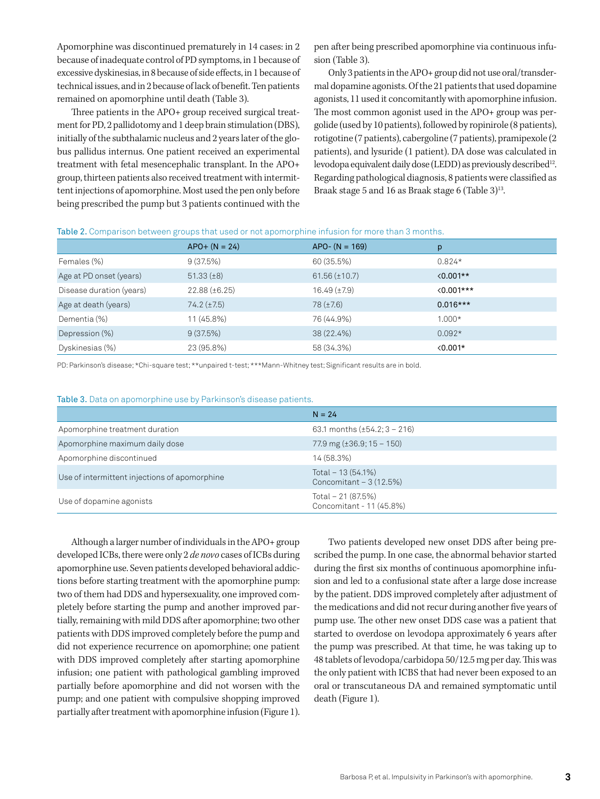Apomorphine was discontinued prematurely in 14 cases: in 2 because of inadequate control of PD symptoms, in 1 because of excessive dyskinesias, in 8 because of side effects, in 1 because of technical issues, and in 2 because of lack of benefit. Ten patients remained on apomorphine until death ([Table 3](#page-2-1)).

Three patients in the APO+ group received surgical treatment for PD, 2 pallidotomy and 1 deep brain stimulation (DBS), initially of the subthalamic nucleus and 2 years later of the globus pallidus internus. One patient received an experimental treatment with fetal mesencephalic transplant. In the APO+ group, thirteen patients also received treatment with intermittent injections of apomorphine. Most used the pen only before being prescribed the pump but 3 patients continued with the pen after being prescribed apomorphine via continuous infusion ([Table 3\)](#page-2-1).

Only 3 patients in the APO+ group did not use oral/transdermal dopamine agonists. Of the 21 patients that used dopamine agonists, 11 used it concomitantly with apomorphine infusion. The most common agonist used in the APO+ group was pergolide (used by 10 patients), followed by ropinirole (8 patients), rotigotine (7 patients), cabergoline (7 patients), pramipexole (2 patients), and lysuride (1 patient). DA dose was calculated in levodopa equivalent daily dose (LEDD) as previously described<sup>12</sup>. Regarding pathological diagnosis, 8 patients were classified as Braak stage 5 and 16 as Braak stage 6 [\(Table 3](#page-2-1))<sup>13</sup>.

<span id="page-2-0"></span>

| Table 2. Comparison between groups that used or not apomorphine infusion for more than 3 months. |  |  |  |  |
|--------------------------------------------------------------------------------------------------|--|--|--|--|
|--------------------------------------------------------------------------------------------------|--|--|--|--|

|                          | $APO+ (N = 24)$    | $APO - (N = 169)$   | p                  |
|--------------------------|--------------------|---------------------|--------------------|
| Females (%)              | 9(37.5%)           | 60 (35.5%)          | $0.824*$           |
| Age at PD onset (years)  | $51.33 (\pm 8)$    | $61.56 (\pm 10.7)$  | $\langle 0.001**$  |
| Disease duration (years) | $22.88 (\pm 6.25)$ | $16.49 \ (\pm 7.9)$ | $\langle 0.001***$ |
| Age at death (years)     | $74.2 (\pm 7.5)$   | $78 (\pm 7.6)$      | $0.016***$         |
| Dementia (%)             | 11 (45.8%)         | 76 (44.9%)          | $1.000*$           |
| Depression (%)           | 9(37.5%)           | 38 (22.4%)          | $0.092*$           |
| Dyskinesias (%)          | 23 (95.8%)         | 58 (34.3%)          | $\langle 0.001*$   |

PD: Parkinson's disease; \*Chi-square test; \*\*unpaired t-test; \*\*\*Mann-Whitney test; Significant results are in bold.

<span id="page-2-1"></span>

|  |  | <b>Table 3.</b> Data on apomorphine use by Parkinson's disease patients. |  |  |  |
|--|--|--------------------------------------------------------------------------|--|--|--|
|--|--|--------------------------------------------------------------------------|--|--|--|

|                                               | $N = 24$                                       |
|-----------------------------------------------|------------------------------------------------|
| Apomorphine treatment duration                | 63.1 months $(\pm 54.2; 3 - 216)$              |
| Apomorphine maximum daily dose                | 77.9 mg $(\pm 36.9; 15 - 150)$                 |
| Apomorphine discontinued                      | 14 (58.3%)                                     |
| Use of intermittent injections of apomorphine | Total $-13(54.1%)$<br>Concomitant $-3(12.5%)$  |
| Use of dopamine agonists                      | Total - 21 (87.5%)<br>Concomitant - 11 (45.8%) |

Although a larger number of individuals in the APO+ group developed ICBs, there were only 2 *de novo* cases of ICBs during apomorphine use. Seven patients developed behavioral addictions before starting treatment with the apomorphine pump: two of them had DDS and hypersexuality, one improved completely before starting the pump and another improved partially, remaining with mild DDS after apomorphine; two other patients with DDS improved completely before the pump and did not experience recurrence on apomorphine; one patient with DDS improved completely after starting apomorphine infusion; one patient with pathological gambling improved partially before apomorphine and did not worsen with the pump; and one patient with compulsive shopping improved partially after treatment with apomorphine infusion ([Figure 1\)](#page-3-0).

Two patients developed new onset DDS after being prescribed the pump. In one case, the abnormal behavior started during the first six months of continuous apomorphine infusion and led to a confusional state after a large dose increase by the patient. DDS improved completely after adjustment of the medications and did not recur during another five years of pump use. The other new onset DDS case was a patient that started to overdose on levodopa approximately 6 years after the pump was prescribed. At that time, he was taking up to 48 tablets of levodopa/carbidopa 50/12.5 mg per day. This was the only patient with ICBS that had never been exposed to an oral or transcutaneous DA and remained symptomatic until death ([Figure 1](#page-3-0)).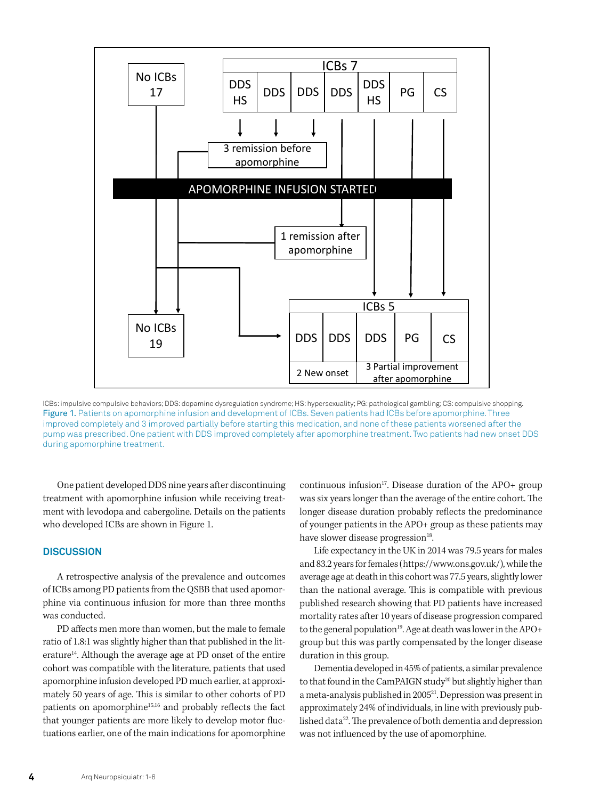

<span id="page-3-0"></span>ICBs: impulsive compulsive behaviors; DDS: dopamine dysregulation syndrome; HS: hypersexuality; PG: pathological gambling; CS: compulsive shopping. Figure 1. Patients on apomorphine infusion and development of ICBs. Seven patients had ICBs before apomorphine. Three improved completely and 3 improved partially before starting this medication, and none of these patients worsened after the pump was prescribed. One patient with DDS improved completely after apomorphine treatment. Two patients had new onset DDS during apomorphine treatment.

One patient developed DDS nine years after discontinuing treatment with apomorphine infusion while receiving treatment with levodopa and cabergoline. Details on the patients who developed ICBs are shown in [Figure 1.](#page-3-0)

## **DISCUSSION**

A retrospective analysis of the prevalence and outcomes of ICBs among PD patients from the QSBB that used apomorphine via continuous infusion for more than three months was conducted.

PD affects men more than women, but the male to female ratio of 1.8:1 was slightly higher than that published in the literature<sup>14</sup>. Although the average age at PD onset of the entire cohort was compatible with the literature, patients that used apomorphine infusion developed PD much earlier, at approximately 50 years of age. This is similar to other cohorts of PD patients on apomorphine<sup>15,16</sup> and probably reflects the fact that younger patients are more likely to develop motor fluctuations earlier, one of the main indications for apomorphine continuous infusion<sup>17</sup>. Disease duration of the APO+ group was six years longer than the average of the entire cohort. The longer disease duration probably reflects the predominance of younger patients in the APO+ group as these patients may have slower disease progression<sup>18</sup>.

Life expectancy in the UK in 2014 was 79.5 years for males and 83.2 years for females (https://www.ons.gov.uk/), while the average age at death in this cohort was 77.5 years, slightly lower than the national average. This is compatible with previous published research showing that PD patients have increased mortality rates after 10 years of disease progression compared to the general population<sup>19</sup>. Age at death was lower in the APO+ group but this was partly compensated by the longer disease duration in this group.

Dementia developed in 45% of patients, a similar prevalence to that found in the CamPAIGN study<sup>20</sup> but slightly higher than a meta-analysis published in 200521. Depression was present in approximately 24% of individuals, in line with previously published data<sup>22</sup>. The prevalence of both dementia and depression was not influenced by the use of apomorphine.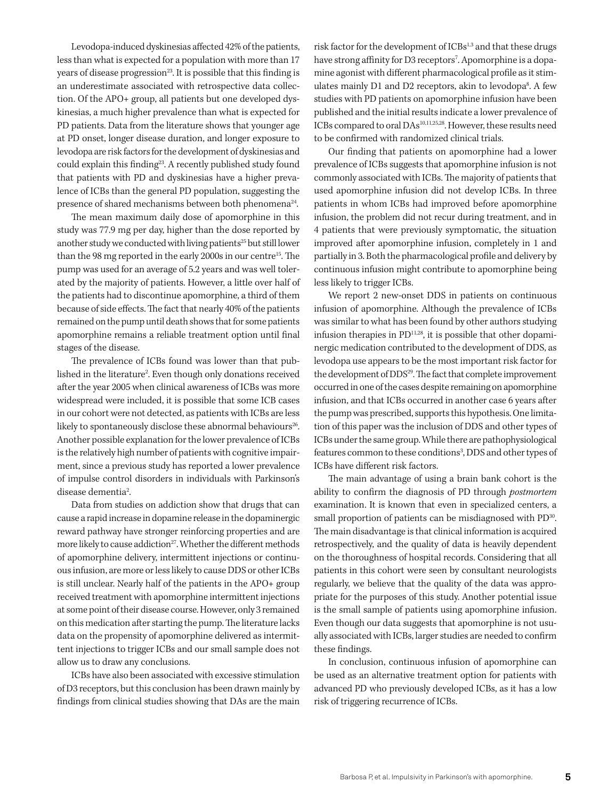Levodopa-induced dyskinesias affected 42% of the patients, less than what is expected for a population with more than 17 years of disease progression<sup>23</sup>. It is possible that this finding is an underestimate associated with retrospective data collection. Of the APO+ group, all patients but one developed dyskinesias, a much higher prevalence than what is expected for PD patients. Data from the literature shows that younger age at PD onset, longer disease duration, and longer exposure to levodopa are risk factors for the development of dyskinesias and could explain this finding<sup>23</sup>. A recently published study found that patients with PD and dyskinesias have a higher prevalence of ICBs than the general PD population, suggesting the presence of shared mechanisms between both phenomena<sup>24</sup>.

The mean maximum daily dose of apomorphine in this study was 77.9 mg per day, higher than the dose reported by another study we conducted with living patients<sup>25</sup> but still lower than the 98 mg reported in the early 2000s in our centre<sup>15</sup>. The pump was used for an average of 5.2 years and was well tolerated by the majority of patients. However, a little over half of the patients had to discontinue apomorphine, a third of them because of side effects. The fact that nearly 40% of the patients remained on the pump until death shows that for some patients apomorphine remains a reliable treatment option until final stages of the disease.

The prevalence of ICBs found was lower than that published in the literature2 . Even though only donations received after the year 2005 when clinical awareness of ICBs was more widespread were included, it is possible that some ICB cases in our cohort were not detected, as patients with ICBs are less likely to spontaneously disclose these abnormal behaviours<sup>26</sup>. Another possible explanation for the lower prevalence of ICBs is the relatively high number of patients with cognitive impairment, since a previous study has reported a lower prevalence of impulse control disorders in individuals with Parkinson's disease dementia<sup>2</sup>. .

Data from studies on addiction show that drugs that can cause a rapid increase in dopamine release in the dopaminergic reward pathway have stronger reinforcing properties and are more likely to cause addiction<sup>27</sup>. Whether the different methods of apomorphine delivery, intermittent injections or continuous infusion, are more or less likely to cause DDS or other ICBs is still unclear. Nearly half of the patients in the APO+ group received treatment with apomorphine intermittent injections at some point of their disease course. However, only 3 remained on this medication after starting the pump. The literature lacks data on the propensity of apomorphine delivered as intermittent injections to trigger ICBs and our small sample does not allow us to draw any conclusions.

ICBs have also been associated with excessive stimulation of D3 receptors, but this conclusion has been drawn mainly by findings from clinical studies showing that DAs are the main risk factor for the development of ICBs<sup>1,3</sup> and that these drugs have strong affinity for D3 receptors<sup>7</sup>. Apomorphine is a dopamine agonist with different pharmacological profile as it stimulates mainly D1 and D2 receptors, akin to levodopa<sup>8</sup>. A few studies with PD patients on apomorphine infusion have been published and the initial results indicate a lower prevalence of ICBs compared to oral DAs<sup>10,11,25,28</sup>. However, these results need to be confirmed with randomized clinical trials.

Our finding that patients on apomorphine had a lower prevalence of ICBs suggests that apomorphine infusion is not commonly associated with ICBs. The majority of patients that used apomorphine infusion did not develop ICBs. In three patients in whom ICBs had improved before apomorphine infusion, the problem did not recur during treatment, and in 4 patients that were previously symptomatic, the situation improved after apomorphine infusion, completely in 1 and partially in 3. Both the pharmacological profile and delivery by continuous infusion might contribute to apomorphine being less likely to trigger ICBs.

We report 2 new-onset DDS in patients on continuous infusion of apomorphine. Although the prevalence of ICBs was similar to what has been found by other authors studying infusion therapies in  $PD<sup>11,28</sup>$ , it is possible that other dopaminergic medication contributed to the development of DDS, as levodopa use appears to be the most important risk factor for the development of DDS<sup>29</sup>. The fact that complete improvement occurred in one of the cases despite remaining on apomorphine infusion, and that ICBs occurred in another case 6 years after the pump was prescribed, supports this hypothesis. One limitation of this paper was the inclusion of DDS and other types of ICBs under the same group. While there are pathophysiological features common to these conditions<sup>3</sup>, DDS and other types of ICBs have different risk factors.

The main advantage of using a brain bank cohort is the ability to confirm the diagnosis of PD through *postmortem*  examination. It is known that even in specialized centers, a small proportion of patients can be misdiagnosed with PD<sup>30</sup>. The main disadvantage is that clinical information is acquired retrospectively, and the quality of data is heavily dependent on the thoroughness of hospital records. Considering that all patients in this cohort were seen by consultant neurologists regularly, we believe that the quality of the data was appropriate for the purposes of this study. Another potential issue is the small sample of patients using apomorphine infusion. Even though our data suggests that apomorphine is not usually associated with ICBs, larger studies are needed to confirm these findings.

In conclusion, continuous infusion of apomorphine can be used as an alternative treatment option for patients with advanced PD who previously developed ICBs, as it has a low risk of triggering recurrence of ICBs.